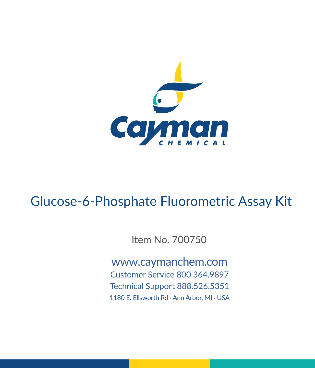

# Glucose-6-Phosphate Fluorometric Assay Kit

Item No. 700750

www.caymanchem.com Customer Service 800.364.9897 Technical Support 888.526.5351 1180 E. Ellsworth Rd · Ann Arbor, MI · USA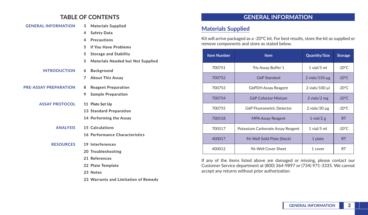## **TABLE OF CONTENTS**

| <b>GENERAL INFORMATION</b>   | <b>Materials Supplied</b><br>3                |
|------------------------------|-----------------------------------------------|
|                              | <b>Safety Data</b><br>4                       |
|                              | <b>Precautions</b><br>4                       |
|                              | If You Have Problems<br>5.                    |
|                              | 5<br><b>Storage and Stability</b>             |
|                              | <b>Materials Needed but Not Supplied</b><br>5 |
| <b>INTRODUCTION</b>          | <b>Background</b><br>6                        |
|                              | <b>About This Assay</b><br>$7^{\circ}$        |
| <b>PRE-ASSAY PREPARATION</b> | <b>Reagent Preparation</b><br>8               |
|                              | <b>Sample Preparation</b><br>9                |
| <b>ASSAY PROTOCOL</b>        | 11 Plate Set Up                               |
|                              | 13 Standard Preparation                       |
|                              | 14 Performing the Assay                       |
| <b>ANALYSIS</b>              | 15 Calculations                               |
|                              | 16 Performance Characteristics                |
| <b>RESOURCES</b>             | 19 Interferences                              |
|                              | 20 Troubleshooting                            |
|                              | 21 References                                 |
|                              | 22 Plate Template                             |
|                              | 23 Notes                                      |
|                              | 23 Warranty and Limitation of Remedy          |

# **GENERAL INFORMATION**

## **Materials Supplied**

Kit will arrive packaged as a -20°C kit. For best results, store the kit as supplied or remove components and store as stated below.

| <b>Item Number</b> | <b>Item</b>                       | <b>Quantity/Size</b> | <b>Storage</b>  |
|--------------------|-----------------------------------|----------------------|-----------------|
| 700751             | Tris Assay Buffer 1               | $1$ vial/ $5$ ml     | $-20^{\circ}$ C |
| 700752             | G6P Standard                      | 2 vials/150 $\mu$ g  | $-20^{\circ}$ C |
| 700753             | G6PDH Assay Reagent               | $2$ vials/100 $\mu$  | $-20^{\circ}$ C |
| 700754             | <b>G6P Cofactor Mixture</b>       | 2 vials/2 mg         | $-20^{\circ}$ C |
| 700755             | <b>G6P Fluorometric Detector</b>  | 2 vials/30 $\mu$ g   | $-20^{\circ}$ C |
| 700518             | <b>MPA Assay Reagent</b>          | 1 vial/2 $g$         | <b>RT</b>       |
| 700517             | Potassium Carbonate Assay Reagent | $1$ vial/ $5$ ml     | $-20^{\circ}$ C |
| 400017             | 96-Well Solid Plate (black)       | 1 plate              | <b>RT</b>       |
| 400012             | 96-Well Cover Sheet               | 1 cover              | <b>RT</b>       |

If any of the items listed above are damaged or missing, please contact our Customer Service department at (800) 364-9897 or (734) 971-3335. We cannot accept any returns without prior authorization.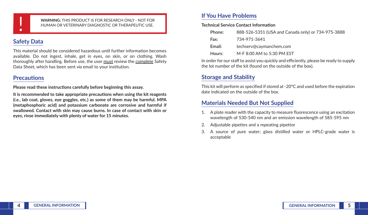

**WARNING:** THIS PRODUCT IS FOR RESEARCH ONLY - NOT FOR<br>HUMAN OR VETERINARY DIAGNOSTIC OR THERAPEUTIC USE. HUMAN OR VETERINARY DIAGNOSTIC OR THERAPEUTIC USE.

# **Safety Data**

This material should be considered hazardous until further information becomes available. Do not ingest, inhale, get in eyes, on skin, or on clothing. Wash thoroughly after handling. Before use, the user must review the complete Safety Data Sheet, which has been sent *via* email to your institution.

## **Precautions**

**Please read these instructions carefully before beginning this assay.**

**It is recommended to take appropriate precautions when using the kit reagents (***i.e.***, lab coat, gloves, eye goggles, etc.) as some of them may be harmful. MPA (metaphosphoric acid) and potassium carbonate are corrosive and harmful if swallowed. Contact with skin may cause burns. In case of contact with skin or eyes, rinse immediately with plenty of water for 15 minutes.**

# **If You Have Problems**

**Technical Service Contact Information**

| Phone: | 888-526-5351 (USA and Canada only) or 734-975-3888 |
|--------|----------------------------------------------------|
| Fax:   | 734-971-3641                                       |
| Email: | techserv@caymanchem.com                            |
| Hours: | M-F 8:00 AM to 5:30 PM FST                         |

In order for our staff to assist you quickly and efficiently, please be ready to supply the lot number of the kit (found on the outside of the box).

# **Storage and Stability**

This kit will perform as specified if stored at -20°C and used before the expiration date indicated on the outside of the box.

# **Materials Needed But Not Supplied**

- 1. A plate reader with the capacity to measure fluorescence using an excitation wavelength of 530-540 nm and an emission wavelength of 585-595 nm
- 2. Adjustable pipettes and a repeating pipettor
- 3. A source of pure water; glass distilled water or HPLC-grade water is acceptable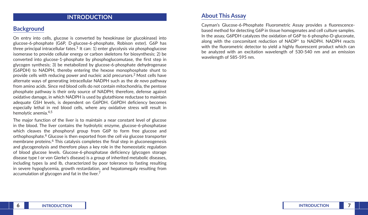## **INTRODUCTION**

## **Background**

On entry into cells, glucose is converted by hexokinase (or glucokinase) into glucose-6-phosphate (G6P, D-glucose-6-phosphate, Robison ester). G6P has three principal intracellular fates.1 It can: 1) enter glycolysis *via* phosphoglucose isomerase to provide cellular energy or carbon skeletons for biosynthesis; 2) be converted into glucose-1-phosphate by phosphoglucomutase, the first step in glycogen synthesis; 3) be metabolized by glucose-6-phosphate dehydrogenase (G6PDH) to NADPH, thereby entering the hexose monophosphate shunt to provide cells with reducing power and nucleic acid precursors.2 Most cells have alternate ways of generating intracellular NADPH such as the *de novo* pathway from amino acids. Since red blood cells do not contain mitochondria, the pentose phosphate pathway is their only source of NADPH; therefore, defense against oxidative damage, in which NADPH is used by glutathione reductase to maintain adequate GSH levels, is dependent on G6PDH. G6PDH deficiency becomes especially lethal in red blood cells, where any oxidative stress will result in hemolytic anemia.4,5

The major function of the liver is to maintain a near constant level of glucose in the blood. The liver contains the hydrolytic enzyme, glucose-6-phosphatase which cleaves the phosphoryl group from G6P to form free glucose and orthophosphate.6 Glucose is then exported from the cell *via* glucose transporter membrane proteins.<sup>6</sup> This catalysis completes the final step in gluconeogenesis and glycogenolysis and therefore plays a key role in the homeostatic regulation of blood glucose levels. Glucose-6-phosphatase deficiency (glycogen storage disease type I or von Gierke's disease) is a group of inherited metabolic diseases, including types Ia and Ib, characterized by poor tolerance to fasting resulting in severe hypoglycemia, growth restardation, and hepatomegaly resulting from accumulation of glycogen and fat in the liver.<sup>7</sup>

### **About This Assay**

Cayman's Glucose-6-Phosphate Fluorometric Assay provides a fluorescencebased method for detecting G6P in tissue homogenates and cell culture samples. In the assay, G6PDH catalyzes the oxidation of G6P to 6-phospho-D-gluconate, along with the concomitant reduction of NADP<sup>+</sup> to NADPH. NADPH reacts with the fluorometric detector to yield a highly fluorescent product which can be analyzed with an excitation wavelength of 530-540 nm and an emission wavelength of 585-595 nm.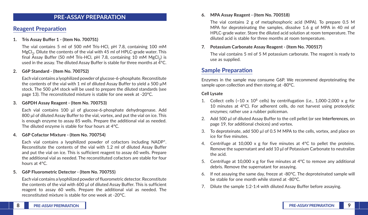### **PRE-ASSAY PREPARATION**

## **Reagent Preparation**

### **1. Tris Assay Buffer 1 - (Item No. 700751)**

The vial contains 5 ml of 500 mM Tris-HCl, pH 7.8, containing 100 mM MgCl<sub>3</sub>. Dilute the contents of the vial with 45 ml of HPLC-grade water. This final Assay Buffer (50 mM Tris-HCl, pH 7.8, containing 10 mM  $MgCl<sub>2</sub>$ ) is used in the assay. The diluted Assay Buffer is stable for three months at 4°C.

### **2. G6P Standard - (Item No. 700752)**

Each vial contains a lyophilized powder of glucose-6-phosphate. Reconstitute the contents of the vial with 1 ml of diluted Assay Buffer to yield a 500 µM stock. The 500 µM stock will be used to prepare the diluted standards (see page 13). The reconstituted mixture is stable for one week at -20°C.

### **3. G6PDH Assay Reagent - (Item No. 700753)**

Each vial contains 100 µl of glucose-6-phosphate dehydrogenase. Add 800 µl of diluted Assay Buffer to the vial, vortex, and put the vial on ice. This is enough enzyme to assay 85 wells. Prepare the additional vial as needed. The diluted enzyme is stable for four hours at 4°C.

#### **4. G6P Cofactor Mixture - (Item No. 700754)**

Each vial contains a lyophilized powder of cofactors including NADP+. Reconstitute the contents of the vial with 1.2 ml of diluted Assay Buffer and put the vial on ice. This is sufficient reagent to assay 60 wells. Prepare the additional vial as needed. The reconstituted cofactors are stable for four hours at 4°C.

#### **5. G6P Fluorometric Detector - (Item No. 700755)**

Each vial contains a lyophilized powder of fluorometric detector. Reconstitute the contents of the vial with 600 µl of diluted Assay Buffer. This is sufficient reagent to assay 60 wells. Prepare the additional vial as needed. The reconstituted mixture is stable for one week at -20°C.

#### **6. MPA Assay Reagent - (Item No. 700518)**

The vial contains 2 g of metaphosphoric acid (MPA). To prepare 0.5 M MPA for deproteinating the samples, dissolve 1.6 g of MPA in 40 ml of HPLC-grade water. Store the diluted acid solution at room temperature. The diluted acid is stable for three months at room temperature.

### **7. Potassium Carbonate Assay Reagent - (Item No. 700517)**

The vial contains 5 ml of 5 M potassium carbonate. The reagent is ready to use as supplied.

### **Sample Preparation**

Enzymes in the sample may consume G6P. We recommend deproteinating the sample upon collection and then storing at -80°C.

#### **Cell Lysate**

- 1. Collect cells  $(-10 \times 10^6 \text{ cells})$  by centrifugation (*i.e.*, 1,000-2,000 x g for 10 minutes at 4°C). For adherent cells, do not harvest using proteolytic enzymes; rather use a rubber policeman.
- 2. Add 500 µl of diluted Assay Buffer to the cell pellet (or see **Interferences**, on page 19, for additional choices) and vortex.
- 3. To deproteinate, add 500 µl of 0.5 M MPA to the cells, vortex, and place on ice for five minutes.
- 4. Centrifuge at 10,000 x g for five minutes at 4°C to pellet the proteins. Remove the supernatant and add 10 μl of Potassium Carbonate to neutralize the acid.
- 5. Centrifuge at 10,000 x g for five minutes at  $4^{\circ}$ C to remove any additional debris. Remove the supernatant for assaying.
- 6. If not assaying the same day, freeze at -80°C. The deproteinated sample will be stable for one month while stored at -80°C.
- 7. Dilute the sample 1:2-1:4 with diluted Assay Buffer before assaying.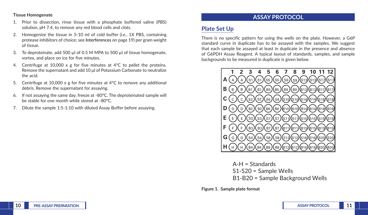**Tissue Homogenate**

- 1. Prior to dissection, rinse tissue with a phosphate buffered saline (PBS) solution, pH 7.4, to remove any red blood cells and clots.
- 2. Homogenize the tissue in 5-10 ml of cold buffer (*i.e.*, 1X PBS, containing protease inhibitors of choice; see **Interferences** on page 19) per gram weight of tissue.
- 3. To deproteinate, add 500 µl of 0.5 M MPA to 500 µl of tissue homogenate, vortex, and place on ice for five minutes.
- 4. Centrifuge at 10,000 x g for five minutes at 4°C to pellet the proteins. Remove the supernatant and add 10 μl of Potassium Carbonate to neutralize the acid.
- 5. Centrifuge at 10,000 x g for five minutes at  $4^{\circ}$ C to remove any additional debris. Remove the supernatant for assaying.
- 6. If not assaying the same day, freeze at -80°C. The deproteinated sample will be stable for one month while stored at -80°C.
- 7. Dilute the sample 1:5-1:10 with diluted Assay Buffer before assaying.

# **ASSAY PROTOCOL**

# **Plate Set Up**

There is no specific pattern for using the wells on the plate. However, a G6P standard curve in duplicate has to be assayed with the samples. We suggest that each sample be assayed at least in duplicate in the presence and absence of G6PDH Assay Reagent. A typical layout of standards, samples, and sample backgrounds to be measured in duplicate is given below.



A-H = Standards S1-S20 = Sample Wells B1-B20 = Sample Background Wells

**Figure 1. Sample plate format**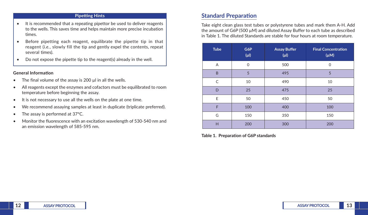### **Pipetting Hints**

- It is recommended that a repeating pipettor be used to deliver reagents to the wells. This saves time and helps maintain more precise incubation times.
- Before pipetting each reagent, equilibrate the pipette tip in that reagent (*i.e.*, slowly fill the tip and gently expel the contents, repeat several times).
- Do not expose the pipette tip to the reagent(s) already in the well.

### **General Information**

- The final volume of the assay is 200  $\mu$ l in all the wells.
- All reagents except the enzymes and cofactors must be equilibrated to room temperature before beginning the assay.
- It is not necessary to use all the wells on the plate at one time.
- We recommend assaying samples at least in duplicate (triplicate preferred).
- The assay is performed at 37°C.
- Monitor the fluorescence with an excitation wavelength of 530-540 nm and an emission wavelength of 585-595 nm.

## **Standard Preparation**

Take eight clean glass test tubes or polystyrene tubes and mark them A-H. Add the amount of G6P (500  $\mu$ M) and diluted Assay Buffer to each tube as described in Table 1. The diluted Standards are stable for four hours at room temperature.

| <b>Tube</b> | G6P<br>$(\mu$ l) | <b>Assay Buffer</b><br>$(\mu I)$ | <b>Final Concentration</b><br>$(\mu M)$ |
|-------------|------------------|----------------------------------|-----------------------------------------|
| Α           | $\Omega$         | 500                              | $\Omega$                                |
| B           | 5                | 495                              | 5                                       |
| C           | 10               | 490                              | 10                                      |
| D           | 25               | 475                              | 25                                      |
| E           | 50               | 450                              | 50                                      |
| F           | 100              | 400                              | 100                                     |
| G           | 150              | 350                              | 150                                     |
| H           | 200              | 300                              | 200                                     |

**Table 1. Preparation of G6P standards**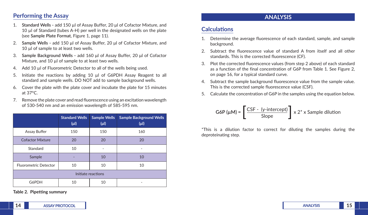## **Performing the Assay**

- 1. **Standard Wells -** add 150 µl of Assay Buffer, 20 μl of Cofactor Mixture, and 10 µl of Standard (tubes A-H) per well in the designated wells on the plate (see **Sample Plate Format**, Figure 1, page 11).
- 2. **Sample Wells -** add 150 μl of Assay Buffer, 20 μl of Cofactor Mixture, and 10 µl of sample to at least two wells.
- 3. **Sample Background Wells -** add 160 μl of Assay Buffer, 20 μl of Cofactor Mixture, and 10 µl of sample to at least two wells.
- 4. Add 10 µl of Fluorometric Detector to all of the wells being used.
- 5. Initiate the reactions by adding 10 µl of G6PDH Assay Reagent to all standard and sample wells. DO NOT add to sample background wells.
- 6. Cover the plate with the plate cover and incubate the plate for 15 minutes at 37°C.
- 7. Remove the plate cover and read fluorescence using an excitation wavelength of 530-540 nm and an emission wavelength of 585-595 nm.

|                              | <b>Standard Wells</b><br>$(\mu$ l) | <b>Sample Wells</b><br>$(\mu$ l) | <b>Sample Background Wells</b><br>$(\mu$ l |
|------------------------------|------------------------------------|----------------------------------|--------------------------------------------|
| Assay Buffer                 | 150                                | 150                              | 160                                        |
| <b>Cofactor Mixture</b>      | 20                                 | 20                               | 20                                         |
| Standard                     | 10                                 |                                  |                                            |
| Sample                       |                                    | 10                               | 10                                         |
| <b>Fluorometric Detector</b> | 10                                 | 10                               | 10                                         |
| Initiate reactions           |                                    |                                  |                                            |
| G6PDH                        | 10                                 | 10                               |                                            |

**Table 2. Pipetting summary**

# **ANALYSIS**

# **Calculations**

- Determine the average fluorescence of each standard, sample, and sample background.
- 2. Subtract the fluorescence value of standard A from itself and all other standards. This is the corrected fluorescence (CF).
- 3. Plot the corrected fluorescence values (from step 2 above) of each standard as a function of the final concentration of G6P from Table 1. See Figure 2, on page 16, for a typical standard curve.
- 4. Subtract the sample background fluorescence value from the sample value. This is the corrected sample fluorescence value (CSF).
- 5. Calculate the concentration of G6P in the samples using the equation below.

$$
G6P (\mu M) = \left[ \frac{CSF - (y\text{-intercept})}{Slope} \right] \times 2^* \times \text{Sample dilution}
$$

\*This is a dilution factor to correct for diluting the samples during the deproteinating step.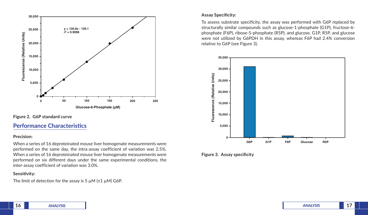

**Figure 2. G6P standard curve**

## **Performance Characteristics**

### **Precision:**

When a series of 16 deproteinated mouse liver homogenate measurements were performed on the same day, the intra-assay coefficient of variation was 2.5%. When a series of 16 deproteinated mouse liver homogenate measurements were performed on six different days under the same experimental conditions, the inter-assay coefficient of variation was 3.0%.

### **Sensitivity:**

The limit of detection for the assay is 5  $\mu$ M ( $\pm$ 1  $\mu$ M) G6P.

### **Assay Specificity:**

To assess substrate specificity, the assay was performed with G6P replaced by structurally similar compounds such as glucose-1-phosphate (G1P), fructose-6 phosphate (F6P), ribose-5-phosphate (R5P), and glucose. G1P, R5P, and glucose were not utilized by G6PDH in this assay, whereas F6P had 2.4% conversion relative to G6P (see Figure 3).



### **Figure 3. Assay specificity**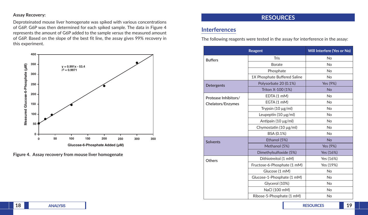### **Assay Recovery:**

Deproteinated mouse liver homogenate was spiked with various concentrations of G6P. G6P was then determined for each spiked sample. The data in Figure 4 represents the amount of G6P added to the sample *versus* the measured amount of G6P. Based on the slope of the best fit line, the assay gives 99% recovery in this experiment.



**Figure 4. Assay recovery from mouse liver homogenate**

## **RESOURCES**

## **Interferences**

The following reagents were tested in the assay for interference in the assay:

|                      | Will Interfere (Yes or No)   |                |
|----------------------|------------------------------|----------------|
| <b>Buffers</b>       | <b>Tris</b>                  | <b>No</b>      |
|                      | Borate                       | No             |
|                      | Phosphate                    | N <sub>o</sub> |
|                      | 1X Phosphate Buffered Saline | <b>No</b>      |
| Detergents           | Polysorbate 20 (0.1%)        | Yes (9%)       |
|                      | Triton X-100 (1%)            | <b>No</b>      |
| Protease Inhibitors/ | EDTA (1 mM)                  | <b>No</b>      |
| Chelators/Enzymes    | EGTA (1 mM)                  | No             |
|                      | Trypsin (10 µg/ml)           | No             |
|                      | Leupeptin $(10 \mu g/ml)$    | <b>No</b>      |
|                      | Antipain (10 µg/ml)          | No             |
|                      | Chymostatin (10 µg/ml)       | N <sub>o</sub> |
|                      | BSA (0.1%)                   | No             |
| <b>Solvents</b>      | Ethanol (5%)                 | <b>No</b>      |
|                      | Methanol (5%)                | Yes (9%)       |
|                      | Dimethylsulfoxide (5%)       | Yes (16%)      |
| <b>Others</b>        | Dithiotreitol (1 mM)         | Yes (16%)      |
|                      | Fructose-6-Phosphate (1 mM)  | Yes (19%)      |
|                      | Glucose (1 mM)               | No             |
|                      | Glucose-1-Phosphate (1 mM)   | No             |
|                      | Glycerol (10%)               | No             |
|                      | NaCl (100 mM)                | No             |
|                      | Ribose-5-Phosphate (1 mM)    | No             |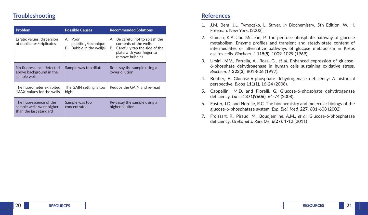## **Troubleshooting**

| <b>Problem</b>                                                                | <b>Possible Causes</b>                                     | <b>Recommended Solutions</b>                                                                                                                   |
|-------------------------------------------------------------------------------|------------------------------------------------------------|------------------------------------------------------------------------------------------------------------------------------------------------|
| Erratic values; dispersion<br>of duplicates/triplicates                       | A. Poor<br>pipetting/technique<br>B. Bubble in the well(s) | A. Be careful not to splash the<br>contents of the wells<br>Carefully tap the side of the<br>В.<br>plate with your finger to<br>remove bubbles |
| No fluorescence detected<br>above background in the<br>sample wells           | Sample was too dilute                                      | Re-assay the sample using a<br>lower dilution                                                                                                  |
| The fluorometer exhibited<br>'MAX' values for the wells                       | The GAIN setting is too<br>high                            | Reduce the GAIN and re-read                                                                                                                    |
| The fluorescence of the<br>sample wells were higher<br>than the last standard | Sample was too<br>concentrated                             | Re-assay the sample using a<br>higher dilution                                                                                                 |

## **References**

- 1. J.M. Berg, J.L. Tymoczko, L. Stryer. *in* Biochemistry. 5th Edition. W. H. Freeman. New York. (2002).
- 2. Gumaa, K.A. and McLean, P. The pentose phosphate pathway of glucose metabolism: Enzyme profiles and transient and steady-state content of intermediates of alternative pathways of glucose metabolism in Krebs ascites cells. *Biochem. J.* **115(5)**, 1009-1029 (1969).
- 3. Ursini, M.V., Parrella, A., Rosa, G., *et al.* Enhanced expression of glucose-6-phosphate dehydrogenase in human cells sustaining oxidative stress. *Biochem. J.* **323(3)**, 801-806 (1997).
- 4. Beutler, E. Glucose-6-phosphate dehydrogenase deficiency: A historical perspective. *Blood* **111(1)**, 16-24 (2008).
- 5. Cappellini, M.D. and Fiorelli, G. Glucose-6-phosphate dehydrogenase deficiency. *Lancet* **371(9606)**, 64-74 (2008).
- 6. Foster, J.D. and Nordlie, R.C. The biochemistry and molecular biology of the glucose-6-phosphatase system. *Exp. Biol. Med.* **227**, 601-608 (2002)
- 7. Froissart, R., Piraud, M., Boudjemline, A.M., *et al.* Glucose-6-phosphatase deficiency. *Orphanet J. Rare Dis.* **6(27)**, 1-12 (2011)